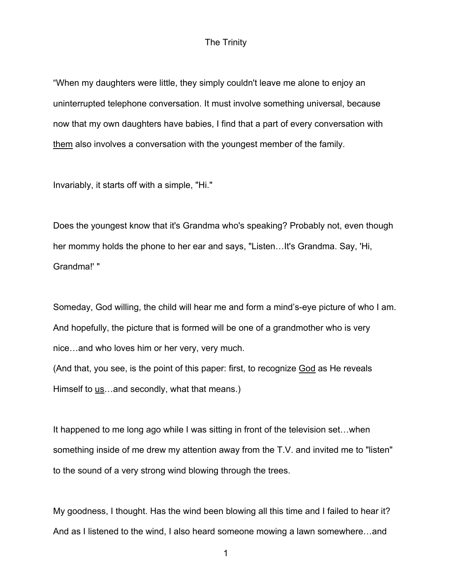## The Trinity

"When my daughters were little, they simply couldn't leave me alone to enjoy an uninterrupted telephone conversation. It must involve something universal, because now that my own daughters have babies, I find that a part of every conversation with them also involves a conversation with the youngest member of the family.

Invariably, it starts off with a simple, "Hi."

Does the youngest know that it's Grandma who's speaking? Probably not, even though her mommy holds the phone to her ear and says, "Listen…It's Grandma. Say, 'Hi, Grandma!' "

Someday, God willing, the child will hear me and form a mind's-eye picture of who I am. And hopefully, the picture that is formed will be one of a grandmother who is very nice…and who loves him or her very, very much.

(And that, you see, is the point of this paper: first, to recognize God as He reveals Himself to <u>us</u>...and secondly, what that means.)

It happened to me long ago while I was sitting in front of the television set…when something inside of me drew my attention away from the T.V. and invited me to "listen" to the sound of a very strong wind blowing through the trees.

My goodness, I thought. Has the wind been blowing all this time and I failed to hear it? And as I listened to the wind, I also heard someone mowing a lawn somewhere…and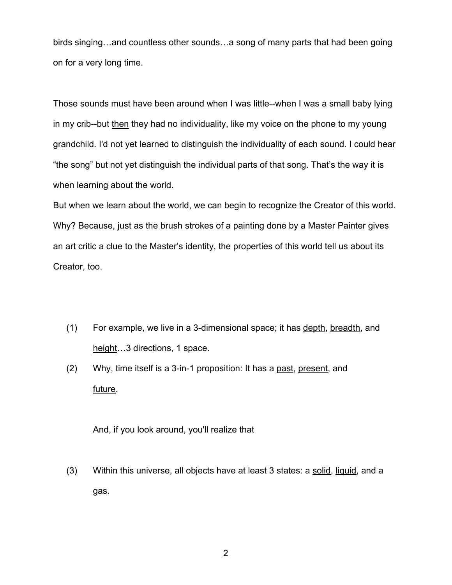birds singing…and countless other sounds…a song of many parts that had been going on for a very long time.

Those sounds must have been around when I was little--when I was a small baby lying in my crib--but then they had no individuality, like my voice on the phone to my young grandchild. I'd not yet learned to distinguish the individuality of each sound. I could hear "the song" but not yet distinguish the individual parts of that song. That's the way it is when learning about the world.

But when we learn about the world, we can begin to recognize the Creator of this world. Why? Because, just as the brush strokes of a painting done by a Master Painter gives an art critic a clue to the Master's identity, the properties of this world tell us about its Creator, too.

- (1) For example, we live in a 3-dimensional space; it has depth, breadth, and height...3 directions, 1 space.
- (2) Why, time itself is a 3-in-1 proposition: It has a <u>past</u>, present, and future.

And, if you look around, you'll realize that

(3) Within this universe, all objects have at least 3 states: a solid, liquid, and a gas.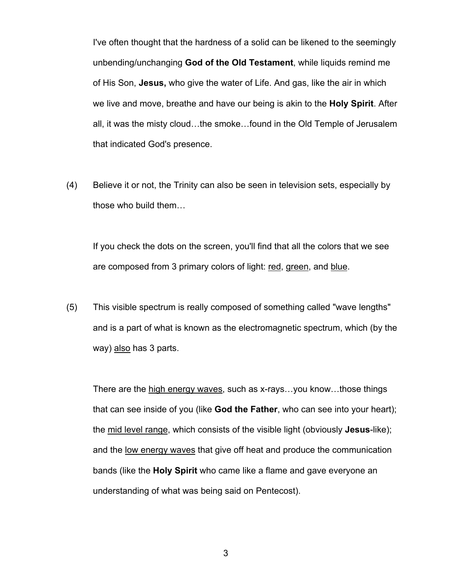I've often thought that the hardness of a solid can be likened to the seemingly unbending/unchanging **God of the Old Testament**, while liquids remind me of His Son, **Jesus,** who give the water of Life. And gas, like the air in which we live and move, breathe and have our being is akin to the **Holy Spirit**. After all, it was the misty cloud…the smoke…found in the Old Temple of Jerusalem that indicated God's presence.

(4) Believe it or not, the Trinity can also be seen in television sets, especially by those who build them…

If you check the dots on the screen, you'll find that all the colors that we see are composed from 3 primary colors of light: red, green, and blue.

(5) This visible spectrum is really composed of something called "wave lengths" and is a part of what is known as the electromagnetic spectrum, which (by the way) also has 3 parts.

There are the high energy waves, such as x-rays…you know…those things that can see inside of you (like **God the Father**, who can see into your heart); the mid level range, which consists of the visible light (obviously **Jesus**-like); and the <u>low energy waves</u> that give off heat and produce the communication bands (like the **Holy Spirit** who came like a flame and gave everyone an understanding of what was being said on Pentecost).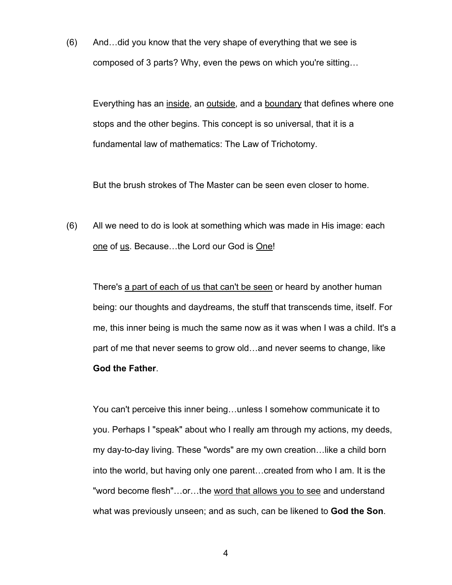(6) And…did you know that the very shape of everything that we see is composed of 3 parts? Why, even the pews on which you're sitting…

Everything has an inside, an outside, and a boundary that defines where one stops and the other begins. This concept is so universal, that it is a fundamental law of mathematics: The Law of Trichotomy.

But the brush strokes of The Master can be seen even closer to home.

(6) All we need to do is look at something which was made in His image: each one of us. Because...the Lord our God is One!

There's a part of each of us that can't be seen or heard by another human being: our thoughts and daydreams, the stuff that transcends time, itself. For me, this inner being is much the same now as it was when I was a child. It's a part of me that never seems to grow old…and never seems to change, like **God the Father**.

You can't perceive this inner being…unless I somehow communicate it to you. Perhaps I "speak" about who I really am through my actions, my deeds, my day-to-day living. These "words" are my own creation…like a child born into the world, but having only one parent…created from who I am. It is the "word become flesh"…or…the word that allows you to see and understand what was previously unseen; and as such, can be likened to **God the Son**.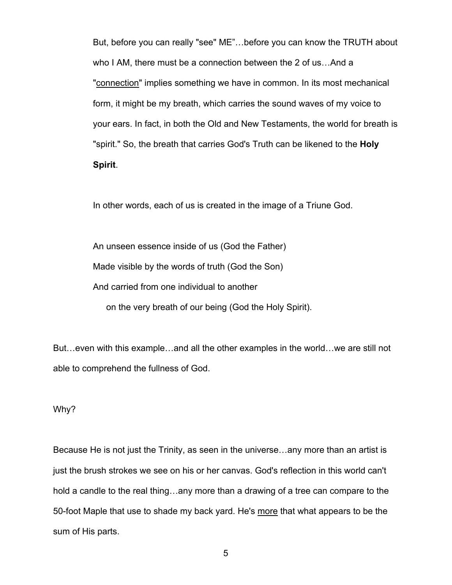But, before you can really "see" ME"…before you can know the TRUTH about who I AM, there must be a connection between the 2 of us…And a "connection" implies something we have in common. In its most mechanical form, it might be my breath, which carries the sound waves of my voice to your ears. In fact, in both the Old and New Testaments, the world for breath is "spirit." So, the breath that carries God's Truth can be likened to the **Holy Spirit**.

In other words, each of us is created in the image of a Triune God.

An unseen essence inside of us (God the Father) Made visible by the words of truth (God the Son) And carried from one individual to another on the very breath of our being (God the Holy Spirit).

But…even with this example…and all the other examples in the world…we are still not able to comprehend the fullness of God.

Why?

Because He is not just the Trinity, as seen in the universe…any more than an artist is just the brush strokes we see on his or her canvas. God's reflection in this world can't hold a candle to the real thing…any more than a drawing of a tree can compare to the 50-foot Maple that use to shade my back yard. He's more that what appears to be the sum of His parts.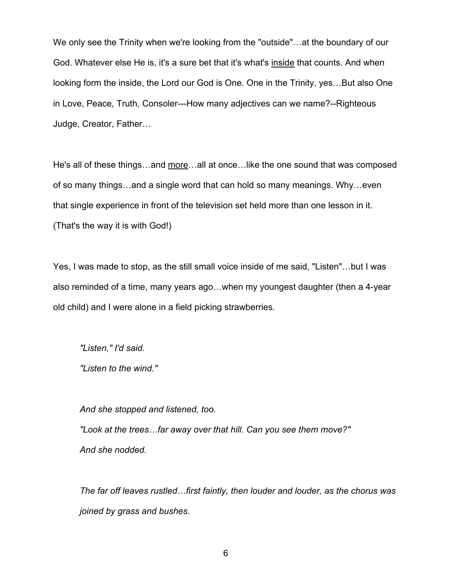We only see the Trinity when we're looking from the "outside"…at the boundary of our God. Whatever else He is, it's a sure bet that it's what's inside that counts. And when looking form the inside, the Lord our God is One. One in the Trinity, yes…But also One in Love, Peace, Truth, Consoler---How many adjectives can we name?--Righteous Judge, Creator, Father…

He's all of these things...and more...all at once... like the one sound that was composed of so many things…and a single word that can hold so many meanings. Why…even that single experience in front of the television set held more than one lesson in it. (That's the way it is with God!)

Yes, I was made to stop, as the still small voice inside of me said, "Listen"…but I was also reminded of a time, many years ago…when my youngest daughter (then a 4-year old child) and I were alone in a field picking strawberries.

*"Listen," I'd said.*

*"Listen to the wind."*

*And she stopped and listened, too.*

*"Look at the trees…far away over that hill. Can you see them move?" And she nodded.*

*The far off leaves rustled…first faintly, then louder and louder, as the chorus was joined by grass and bushes.*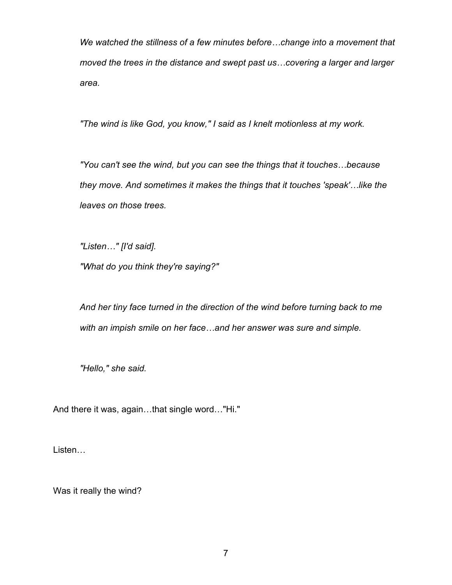*We watched the stillness of a few minutes before…change into a movement that moved the trees in the distance and swept past us…covering a larger and larger area.*

*"The wind is like God, you know," I said as I knelt motionless at my work.*

*"You can't see the wind, but you can see the things that it touches…because they move. And sometimes it makes the things that it touches 'speak'…like the leaves on those trees.*

*"Listen…" [I'd said].*

*"What do you think they're saying?"*

*And her tiny face turned in the direction of the wind before turning back to me with an impish smile on her face…and her answer was sure and simple.*

*"Hello," she said.*

And there it was, again…that single word…"Hi."

Listen…

Was it really the wind?